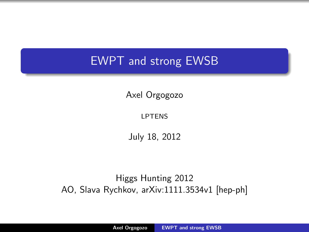### EWPT and strong EWSB

Axel Orgogozo

LPTENS

<span id="page-0-0"></span>July 18, 2012

Higgs Hunting 2012 AO, Slava Rychkov, arXiv:1111.3534v1 [hep-ph]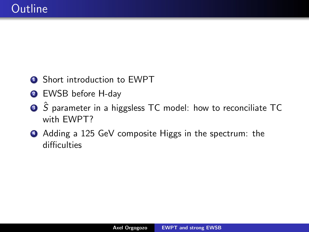- **1** Short introduction to EWPT
- <sup>2</sup> EWSB before H-day
- **■**  $\hat{S}$  parameter in a higgsless TC model: how to reconciliate TC with EWPT?
- <sup>4</sup> Adding a 125 GeV composite Higgs in the spectrum: the difficulties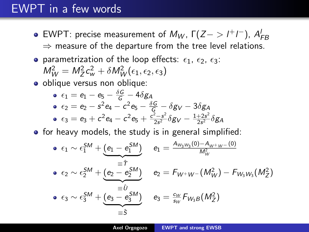## EWPT in a few words

- EWPT: precise measurement of  $M_W$ ,  $\Gamma(Z \to l^+l^-)$ ,  $A_{FB}^l$  $\Rightarrow$  measure of the departure from the tree level relations.
- parametrization of the loop effects:  $\epsilon_1$ ,  $\epsilon_2$ ,  $\epsilon_3$ :  $M_W^2 = M_Z^2 c_w^2 + \delta M_W^2 (\epsilon_1, \epsilon_2, \epsilon_3)$

o oblique versus non oblique:

• 
$$
\epsilon_1 = e_1 - e_5 - \frac{\delta G}{G} - 4\delta g_A
$$
  
\n•  $\epsilon_2 = e_2 - s^2 e_4 - c^2 e_5 - \frac{\delta G}{G} - \delta g_V - 3\delta g_A$   
\n•  $\epsilon_3 = e_3 + c^2 e_4 - c^2 e_5 + \frac{c^2 - s^2}{2s^2} \delta g_V - \frac{1+2s^2}{2s^2} \delta g_A$ 

 $\bullet$  for heavy models, the study is in general simplified:

$$
\begin{array}{ll}\n\bullet \epsilon_1 \sim \epsilon_1^{SM} + \underbrace{(e_1 - e_1^{SM})}_{\equiv \hat{T}} & e_1 = \frac{A_{W_3 W_3}(0) - A_{W^+ W^-}(0)}{M_W^2} \\
\bullet \epsilon_2 \sim \epsilon_2^{SM} + \underbrace{(e_2 - e_2^{SM})}_{\equiv \hat{U}} & e_2 = F_{W^+ W^-}(M_W^2) - F_{W_3 W_3}(M_Z^2) \\
\bullet \epsilon_3 \sim \epsilon_3^{SM} + \underbrace{(e_3 - e_3^{SM})}_{\equiv \hat{S}} & e_3 = \frac{c_W}{s_W} F_{W_3 B}(M_Z^2)\n\end{array}
$$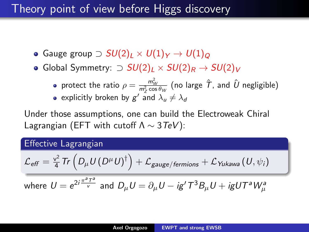#### Theory point of view before Higgs discovery

- Gauge group  $\supset SU(2)_L \times U(1)_Y \rightarrow U(1)_Q$
- Global Symmetry:  $\supset SU(2)_L \times SU(2)_R \rightarrow SU(2)_V$ 
	- protect the ratio  $\rho=\frac{m_W^2}{m_Z^2\cos\theta_W}$  (no large  $\hat{\mathcal{T}}$ , and  $\hat{U}$  negligible)
	- explicitly broken by  $g'$  and  $\lambda_u \neq \lambda_d$

Under those assumptions, one can build the Electroweak Chiral Lagrangian (EFT with cutoff  $\Lambda \sim 3 \text{TeV}$ ):

#### Effective Lagrangian

$$
\mathcal{L}_{\textit{eff}} = \tfrac{\textit{v}^2}{4} \textit{Tr} \left( D_\mu U (D^\mu U)^\dagger \right) + \mathcal{L}_{\textit{gauge/fermions}} + \mathcal{L}_{\textit{Yukawa}} \left( U, \psi_i \right)
$$

where 
$$
U = e^{2i \frac{\pi^a T^a}{v}}
$$
 and  $D_\mu U = \partial_\mu U - i g' T^3 B_\mu U + i g U T^a W^a_\mu$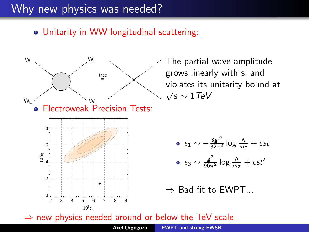### Why new physics was needed?

#### Unitarity in WW longitudinal scattering:



The partial wave amplitude grows linearly with s, and violates its unitarity bound at  $\sqrt{s} \sim 1$ TeV

\n- $$
\epsilon_1 \sim -\frac{3g^2}{32\pi^2} \log \frac{\Lambda}{m_Z} + \text{cst}
$$
\n- $\epsilon_3 \sim \frac{g^2}{96\pi^2} \log \frac{\Lambda}{m_Z} + \text{cst}'$
\n

 $\Rightarrow$  Bad fit to EWPT...

 $\Rightarrow$  new physics needed around or below the TeV scale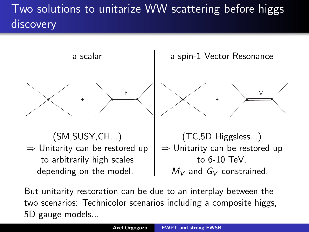# Two solutions to unitarize WW scattering before higgs discovery

a scalar + h (SM,SUSY,CH...)  $\Rightarrow$  Unitarity can be restored up to arbitrarily high scales depending on the model. a spin-1 Vector Resonance + V (TC,5D Higgsless...)  $\Rightarrow$  Unitarity can be restored up to 6-10 TeV.  $M_V$  and  $G_V$  constrained.

But unitarity restoration can be due to an interplay between the two scenarios: Technicolor scenarios including a composite higgs, 5D gauge models...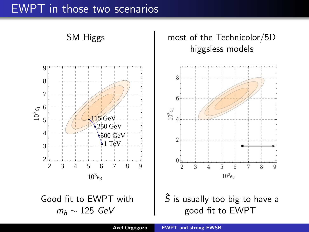### EWPT in those two scenarios

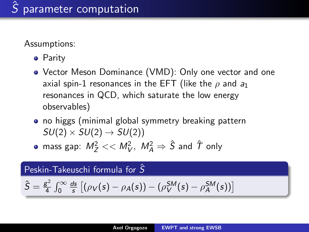Assumptions:

- **•** Parity
- Vector Meson Dominance (VMD): Only one vector and one axial spin-1 resonances in the EFT (like the  $\rho$  and  $a_1$ resonances in QCD, which saturate the low energy observables)
- no higgs (minimal global symmetry breaking pattern  $SU(2) \times SU(2) \rightarrow SU(2)$

mass gap:  $M_Z^2 << M_V^2, \ M_A^2 \Rightarrow \hat S$  and  $\hat T$  only

#### Peskin-Takeuschi formula for  $\hat{S}$

$$
\hat{S} = \frac{g^2}{4} \int_0^\infty \frac{ds}{s} \left[ (\rho_V(s) - \rho_A(s)) - (\rho_V^{SM}(s) - \rho_A^{SM}(s)) \right]
$$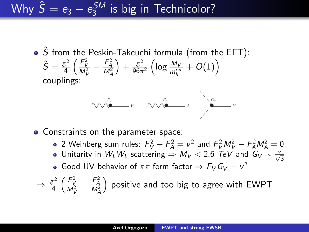Why  $\hat{\mathcal{S}} = \mathit{e}_3 - \mathit{e}_3^\mathit{SM}$  $\frac{1}{3}$ <sup>SM</sup> is big in Technicolor?

> $\bullet$   $\overline{S}$  from the Peskin-Takeuchi formula (from the EFT):  $\hat{\mathsf{S}}=\frac{\mathsf{g}^2}{4}$  $\frac{g^2}{4} \left( \frac{F_V^2}{M_V^2} - \frac{F_A^2}{M_A^2} \right)$  $+ \frac{g^2}{96\pi}$  $\frac{g^2}{96\pi^2}\left(\log\frac{M_V}{m_h^{ref}}+O(1)\right)$ couplings:



- Constraints on the parameter space:
	- 2 Weinberg sum rules:  $F_V^2 F_A^2 = v^2$  and  $F_V^2 M_V^2 F_A^2 M_A^2 = 0$
	- Unitarity in  $W_L W_L$  scattering  $\Rightarrow M_V <$  2.6  $\text{TeV}$  and  $G_V \sim \frac{V}{\sqrt{3}}$
	- Good UV behavior of  $\pi\pi$  form factor  $\Rightarrow$   $F_V G_V = v^2$

$$
\Rightarrow \frac{g^2}{4} \left( \frac{F_V^2}{M_V^2} - \frac{F_A^2}{M_A^2} \right)
$$
 positive and too big to agree with EWPT.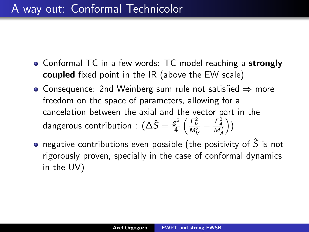- Conformal TC in a few words: TC model reaching a strongly coupled fixed point in the IR (above the EW scale)
- Consequence: 2nd Weinberg sum rule not satisfied  $\Rightarrow$  more freedom on the space of parameters, allowing for a cancelation between the axial and the vector part in the dangerous contribution :  $(\Delta \hat{S} = \frac{g^2}{4})$  $rac{g^2}{4} \left( \frac{F_V^2}{M_V^2} - \frac{F_A^2}{M_A^2} \right)$  $)$
- negative contributions even possible (the positivity of  $\hat{S}$  is not rigorously proven, specially in the case of conformal dynamics in the UV)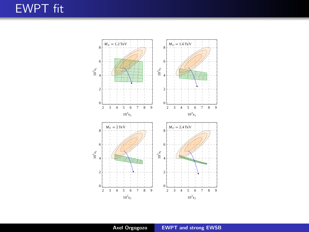## EWPT fit



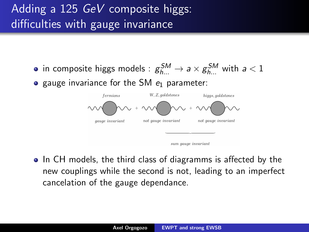# Adding a 125 GeV composite higgs: difficulties with gauge invariance

in composite higgs models :  $\mathcal{g}^{SM}_{h...} \to$   $a \times \mathcal{g}^{SM}_{h...}$  with  $a < 1$  $\bullet$  gauge invariance for the SM  $e_1$  parameter:



|  | sum gauge invariant |
|--|---------------------|
|  |                     |

• In CH models, the third class of diagramms is affected by the new couplings while the second is not, leading to an imperfect cancelation of the gauge dependance.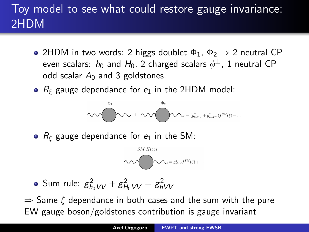# Toy model to see what could restore gauge invariance: 2HDM

- 2HDM in two words: 2 higgs doublet  $\Phi_1$ ,  $\Phi_2 \Rightarrow 2$  neutral CP even scalars:  $h_0$  and  $H_0$ , 2 charged scalars  $\phi^{\pm}$ , 1 neutral <code>CP</code> odd scalar  $A_0$  and 3 goldstones.
- $R_{\xi}$  gauge dependance for  $e_1$  in the 2HDM model:

$$
\text{min} \left\{ \begin{aligned} \Phi_1 & \Phi_2 & \\ & \text{max} \quad + \text{min} \quad \Phi_3 & \text{min} \quad (g_{hgVV}^2 + g_{H_0VV}^2) f^{SM}(\xi) + \dots \end{aligned} \right.
$$

•  $R_{\xi}$  gauge dependance for  $e_1$  in the SM:

$$
\textcolor{red}{\text{SM Higgs}} \\ \textcolor{blue}{\text{W}} = g^2_{hVV} f^{SM}(\xi) + \ldots
$$

• Sum rule: 
$$
g_{h_0VV}^2 + g_{H_0VV}^2 = g_{hVV}^2
$$

 $\Rightarrow$  Same  $\xi$  dependance in both cases and the sum with the pure EW gauge boson/goldstones contribution is gauge invariant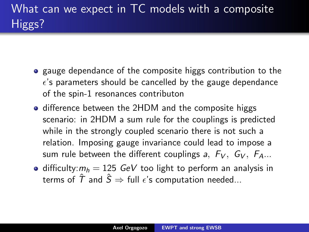- **•** gauge dependance of the composite higgs contribution to the  $\epsilon$ 's parameters should be cancelled by the gauge dependance of the spin-1 resonances contributon
- difference between the 2HDM and the composite higgs scenario: in 2HDM a sum rule for the couplings is predicted while in the strongly coupled scenario there is not such a relation. Imposing gauge invariance could lead to impose a sum rule between the different couplings a,  $F_V$ ,  $G_V$ ,  $F_A$ ...
- difficulty: $m_h = 125$  GeV too light to perform an analysis in terms of  $\hat{T}$  and  $\hat{S} \Rightarrow$  full  $\epsilon$ 's computation needed...